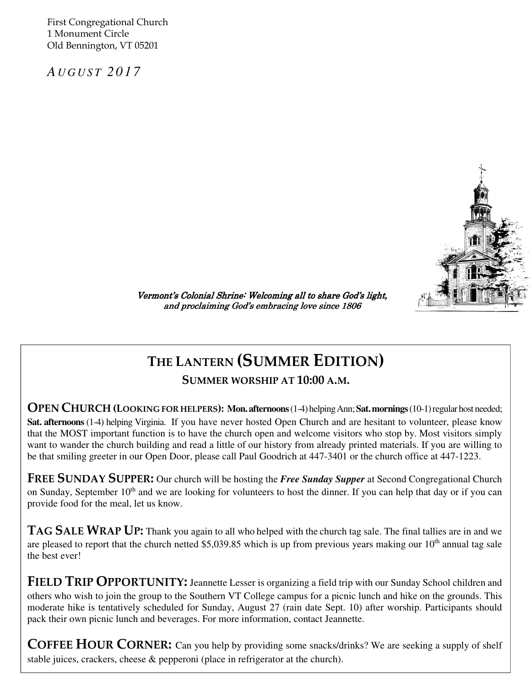First Congregational Church 1 Monument Circle Old Bennington, VT 05201

*A U G U S T 2 0 1 7* 

Ī



Vermont's Colonial Shrine: Welcoming all to share God's light, and proclaiming God's embracing love since 1806

## THE LANTERN (SUMMER EDITION)

SUMMER WORSHIP AT 10:00 A.M.

OPEN CHURCH (LOOKING FOR HELPERS): **Mon. afternoons** (1-4) helping Ann; **Sat. mornings** (10-1) regular host needed; **Sat. afternoons** (1-4) helping Virginia. If you have never hosted Open Church and are hesitant to volunteer, please know that the MOST important function is to have the church open and welcome visitors who stop by. Most visitors simply want to wander the church building and read a little of our history from already printed materials. If you are willing to be that smiling greeter in our Open Door, please call Paul Goodrich at 447-3401 or the church office at 447-1223.

on Sunday, September 10<sup>th</sup> and we are looking for volunteers to host the dinner. If you can help that day or if you can help FREE SUNDAY SUPPER: Our church will be hosting the *Free Sunday Supper* at Second Congregational Church provide food for the meal, let us know.

TAG SALE WRAP UP: Thank you again to all who helped with the church tag sale. The final tallies are in and we are pleased to report that the church netted \$5,039.85 which is up from previous years making our  $10<sup>th</sup>$  annual tag sale the best ever!

FIELD TRIP OPPORTUNITY: Jeannette Lesser is organizing a field trip with our Sunday School children and others who wish to join the group to the Southern VT College campus for a picnic lunch and hike on the grounds. This moderate hike is tentatively scheduled for Sunday, August 27 (rain date Sept. 10) after worship. Participants should pack their own picnic lunch and beverages. For more information, contact Jeannette.

COFFEE HOUR CORNER: Can you help by providing some snacks/drinks? We are seeking a supply of shelf stable juices, crackers, cheese & pepperoni (place in refrigerator at the church).